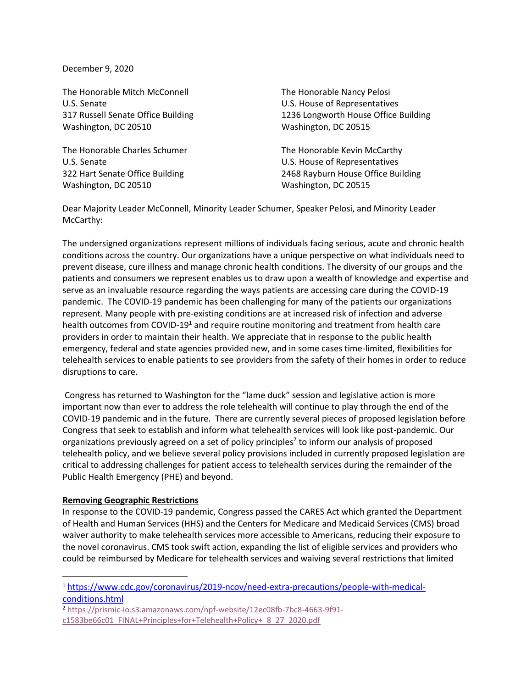December 9, 2020

The Honorable Mitch McConnell The Honorable Nancy Pelosi U.S. Senate U.S. House of Representatives Washington, DC 20510 Washington, DC 20515

The Honorable Charles Schumer The Honorable Kevin McCarthy U.S. Senate U.S. House of Representatives Washington, DC 20510 Washington, DC 20515

317 Russell Senate Office Building 1236 Longworth House Office Building

322 Hart Senate Office Building 2468 Rayburn House Office Building

Dear Majority Leader McConnell, Minority Leader Schumer, Speaker Pelosi, and Minority Leader McCarthy:

The undersigned organizations represent millions of individuals facing serious, acute and chronic health conditions across the country. Our organizations have a unique perspective on what individuals need to prevent disease, cure illness and manage chronic health conditions. The diversity of our groups and the patients and consumers we represent enables us to draw upon a wealth of knowledge and expertise and serve as an invaluable resource regarding the ways patients are accessing care during the COVID-19 pandemic. The COVID-19 pandemic has been challenging for many of the patients our organizations represent. Many people with pre-existing conditions are at increased risk of infection and adverse health outcomes from COVID-19<sup>1</sup> and require routine monitoring and treatment from health care providers in order to maintain their health. We appreciate that in response to the public health emergency, federal and state agencies provided new, and in some cases time-limited, flexibilities for telehealth services to enable patients to see providers from the safety of their homes in order to reduce disruptions to care.

Congress has returned to Washington for the "lame duck" session and legislative action is more important now than ever to address the role telehealth will continue to play through the end of the COVID-19 pandemic and in the future. There are currently several pieces of proposed legislation before Congress that seek to establish and inform what telehealth services will look like post-pandemic. Our organizations previously agreed on a set of policy principles<sup>2</sup> to inform our analysis of proposed telehealth policy, and we believe several policy provisions included in currently proposed legislation are critical to addressing challenges for patient access to telehealth services during the remainder of the Public Health Emergency (PHE) and beyond.

## **Removing Geographic Restrictions**

In response to the COVID-19 pandemic, Congress passed the CARES Act which granted the Department of Health and Human Services (HHS) and the Centers for Medicare and Medicaid Services (CMS) broad waiver authority to make telehealth services more accessible to Americans, reducing their exposure to the novel coronavirus. CMS took swift action, expanding the list of eligible services and providers who could be reimbursed by Medicare for telehealth services and waiving several restrictions that limited

<sup>1</sup> [https://www.cdc.gov/coronavirus/2019-ncov/need-extra-precautions/people-with-medical](https://www.cdc.gov/coronavirus/2019-ncov/need-extra-precautions/people-with-medical-conditions.html)[conditions.html](https://www.cdc.gov/coronavirus/2019-ncov/need-extra-precautions/people-with-medical-conditions.html)

<sup>2</sup> [https://prismic-io.s3.amazonaws.com/npf-website/12ec08fb-7bc8-4663-9f91-](https://prismic-io.s3.amazonaws.com/npf-website/12ec08fb-7bc8-4663-9f91-c1583be66c01_FINAL+Principles+for+Telehealth+Policy+_8_27_2020.pdf)

[c1583be66c01\\_FINAL+Principles+for+Telehealth+Policy+\\_8\\_27\\_2020.pdf](https://prismic-io.s3.amazonaws.com/npf-website/12ec08fb-7bc8-4663-9f91-c1583be66c01_FINAL+Principles+for+Telehealth+Policy+_8_27_2020.pdf)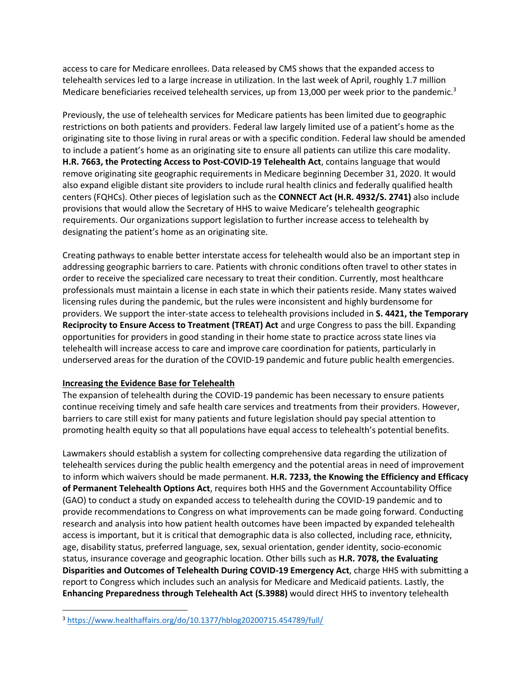access to care for Medicare enrollees. Data released by CMS shows that the expanded access to telehealth services led to a large increase in utilization. In the last week of April, roughly 1.7 million Medicare beneficiaries received telehealth services, up from 13,000 per week prior to the pandemic.<sup>3</sup>

Previously, the use of telehealth services for Medicare patients has been limited due to geographic restrictions on both patients and providers. Federal law largely limited use of a patient's home as the originating site to those living in rural areas or with a specific condition. Federal law should be amended to include a patient's home as an originating site to ensure all patients can utilize this care modality. **H.R. 7663, the Protecting Access to Post-COVID-19 Telehealth Act**, contains language that would remove originating site geographic requirements in Medicare beginning December 31, 2020. It would also expand eligible distant site providers to include rural health clinics and federally qualified health centers (FQHCs). Other pieces of legislation such as the **CONNECT Act (H.R. 4932/S. 2741)** also include provisions that would allow the Secretary of HHS to waive Medicare's telehealth geographic requirements. Our organizations support legislation to further increase access to telehealth by designating the patient's home as an originating site.

Creating pathways to enable better interstate access for telehealth would also be an important step in addressing geographic barriers to care. Patients with chronic conditions often travel to other states in order to receive the specialized care necessary to treat their condition. Currently, most healthcare professionals must maintain a license in each state in which their patients reside. Many states waived licensing rules during the pandemic, but the rules were inconsistent and highly burdensome for providers. We support the inter-state access to telehealth provisions included in **S. 4421, the Temporary Reciprocity to Ensure Access to Treatment (TREAT) Act** and urge Congress to pass the bill. Expanding opportunities for providers in good standing in their home state to practice across state lines via telehealth will increase access to care and improve care coordination for patients, particularly in underserved areas for the duration of the COVID-19 pandemic and future public health emergencies.

## **Increasing the Evidence Base for Telehealth**

The expansion of telehealth during the COVID-19 pandemic has been necessary to ensure patients continue receiving timely and safe health care services and treatments from their providers. However, barriers to care still exist for many patients and future legislation should pay special attention to promoting health equity so that all populations have equal access to telehealth's potential benefits.

Lawmakers should establish a system for collecting comprehensive data regarding the utilization of telehealth services during the public health emergency and the potential areas in need of improvement to inform which waivers should be made permanent. **H.R. 7233, the Knowing the Efficiency and Efficacy of Permanent Telehealth Options Act**, requires both HHS and the Government Accountability Office (GAO) to conduct a study on expanded access to telehealth during the COVID-19 pandemic and to provide recommendations to Congress on what improvements can be made going forward. Conducting research and analysis into how patient health outcomes have been impacted by expanded telehealth access is important, but it is critical that demographic data is also collected, including race, ethnicity, age, disability status, preferred language, sex, sexual orientation, gender identity, socio-economic status, insurance coverage and geographic location. Other bills such as **H.R. 7078, the Evaluating Disparities and Outcomes of Telehealth During COVID-19 Emergency Act**, charge HHS with submitting a report to Congress which includes such an analysis for Medicare and Medicaid patients. Lastly, the **Enhancing Preparedness through Telehealth Act (S.3988)** would direct HHS to inventory telehealth

<sup>3</sup> <https://www.healthaffairs.org/do/10.1377/hblog20200715.454789/full/>